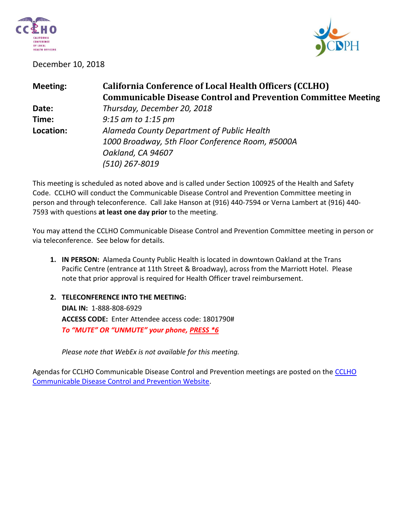

December 10, 2018



| <b>Meeting:</b> | <b>California Conference of Local Health Officers (CCLHO)</b>        |
|-----------------|----------------------------------------------------------------------|
|                 | <b>Communicable Disease Control and Prevention Committee Meeting</b> |
| Date:           | Thursday, December 20, 2018                                          |
| Time:           | $9:15$ am to 1:15 pm                                                 |
| Location:       | Alameda County Department of Public Health                           |
|                 | 1000 Broadway, 5th Floor Conference Room, #5000A                     |
|                 | Oakland, CA 94607                                                    |
|                 | (510) 267-8019                                                       |

This meeting is scheduled as noted above and is called under Section 100925 of the Health and Safety Code. CCLHO will conduct the Communicable Disease Control and Prevention Committee meeting in person and through teleconference. Call Jake Hanson at (916) 440-7594 or Verna Lambert at (916) 440- 7593 with questions **at least one day prior** to the meeting.

You may attend the CCLHO Communicable Disease Control and Prevention Committee meeting in person or via teleconference. See below for details.

- **1. IN PERSON:** Alameda County Public Health is located in downtown Oakland at the Trans Pacific Centre (entrance at 11th Street & Broadway), across from the Marriott Hotel. Please note that prior approval is required for Health Officer travel reimbursement.
- **2. TELECONFERENCE INTO THE MEETING: DIAL IN:** 1-888-808-6929 **ACCESS CODE:** Enter Attendee access code: 1801790# *To "MUTE" OR "UNMUTE" your phone, PRESS \*6*

*Please note that WebEx is not available for this meeting.*

Agendas for [CCLHO](https://www.cdph.ca.gov/Programs/CCLHO/Pages/CommunicableDiseaseControlAndPrevention.aspx) Communicable Disease Control and Prevention meetings are posted on the CCLHO [Communicable Disease Control and Prevention Website.](https://www.cdph.ca.gov/Programs/CCLHO/Pages/CommunicableDiseaseControlAndPrevention.aspx)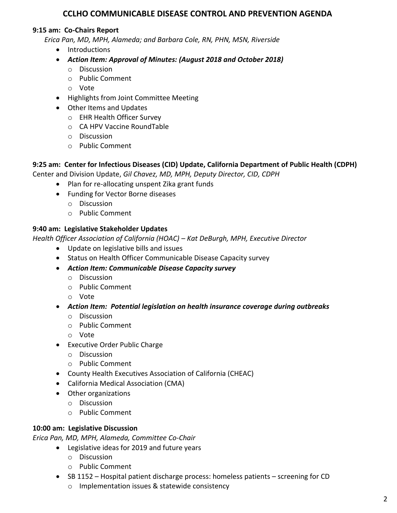# **CCLHO COMMUNICABLE DISEASE CONTROL AND PREVENTION AGENDA**

# **9:15 am: Co-Chairs Report**

*Erica Pan, MD, MPH, Alameda; and Barbara Cole, RN, PHN, MSN, Riverside*

- Introductions
- *Action Item: Approval of Minutes: (August 2018 and October 2018)*
	- o Discussion
	- o Public Comment
	- o Vote
- Highlights from Joint Committee Meeting
- Other Items and Updates
	- o EHR Health Officer Survey
	- o CA HPV Vaccine RoundTable
	- o Discussion
	- o Public Comment

# **9:25 am: Center for Infectious Diseases (CID) Update, California Department of Public Health (CDPH)**

Center and Division Update, *Gil Chavez, MD, MPH, Deputy Director, CID, CDPH*

- Plan for re-allocating unspent Zika grant funds
- Funding for Vector Borne diseases
	- o Discussion
	- o Public Comment

# **9:40 am: Legislative Stakeholder Updates**

*Health Officer Association of California (HOAC) – Kat DeBurgh, MPH, Executive Director*

- Update on legislative bills and issues
- Status on Health Officer Communicable Disease Capacity survey
- *Action Item: Communicable Disease Capacity survey*
	- o Discussion
	- o Public Comment
	- o Vote
- *Action Item: Potential legislation on health insurance coverage during outbreaks*
	- o Discussion
	- o Public Comment
	- o Vote
- Executive Order Public Charge
	- o Discussion
	- o Public Comment
- County Health Executives Association of California (CHEAC)
- California Medical Association (CMA)
- Other organizations
	- o Discussion
	- o Public Comment

# **10:00 am: Legislative Discussion**

*Erica Pan, MD, MPH, Alameda, Committee Co-Chair*

- Legislative ideas for 2019 and future years
	- o Discussion
	- o Public Comment
- SB 1152 Hospital patient discharge process: homeless patients screening for CD
	- o Implementation issues & statewide consistency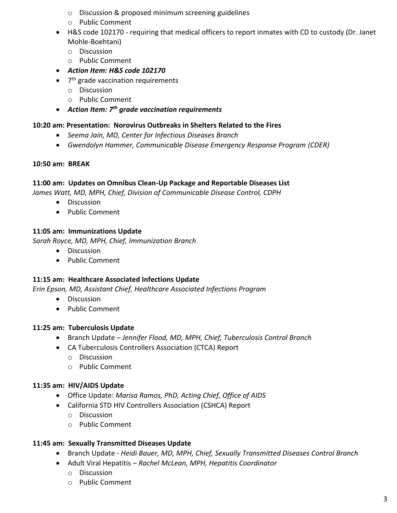- o Discussion & proposed minimum screening guidelines
- o Public Comment
- H&S code 102170 requiring that medical officers to report inmates with CD to custody (Dr. Janet Mohle-Boehtani)
	- o Discussion
	- o Public Comment
- *Action Item: H&S code 102170*
- 7<sup>th</sup> grade vaccination requirements
	- o Discussion
	- o Public Comment
- *Action Item: 7 th grade vaccination requirements*

# **10:20 am: Presentation: Norovirus Outbreaks in Shelters Related to the Fires**

- *Seema Jain, MD, Center for Infectious Diseases Branch*
- *Gwendolyn Hammer, Communicable Disease Emergency Response Program (CDER)*

# **10:50 am: BREAK**

# **11:00 am: Updates on Omnibus Clean-Up Package and Reportable Diseases List**

*James Watt, MD, MPH, Chief, Division of Communicable Disease Control, CDPH* 

- **•** Discussion
- Public Comment

# **11:05 am: Immunizations Update**

*Sarah Royce, MD, MPH, Chief, Immunization Branch*

- Discussion
- Public Comment

# **11:15 am: Healthcare Associated Infections Update**

*Erin Epson, MD, Assistant Chief, Healthcare Associated Infections Program*

- Discussion
- Public Comment

# **11:25 am: Tuberculosis Update**

- Branch Update *Jennifer Flood, MD, MPH, Chief, Tuberculosis Control Branch*
- CA Tuberculosis Controllers Association (CTCA) Report
	- o Discussion
	- o Public Comment

# **11:35 am: HIV/AIDS Update**

- Office Update: *Marisa Ramos, PhD, Acting Chief, Office of AIDS*
- California STD HIV Controllers Association (CSHCA) Report
	- o Discussion
	- o Public Comment

# **11:45 am: Sexually Transmitted Diseases Update**

- Branch Update *Heidi Bauer, MD, MPH, Chief, Sexually Transmitted Diseases Control Branch*
- Adult Viral Hepatitis *Rachel McLean, MPH, Hepatitis Coordinator*
	- o Discussion
	- o Public Comment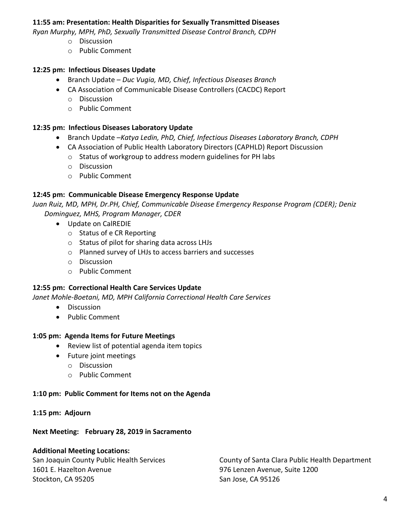## **11:55 am: Presentation: Health Disparities for Sexually Transmitted Diseases**

*Ryan Murphy, MPH, PhD, Sexually Transmitted Disease Control Branch, CDPH*

- o Discussion
- o Public Comment

## **12:25 pm: Infectious Diseases Update**

- Branch Update *Duc Vugia, MD, Chief, Infectious Diseases Branch*
- CA Association of Communicable Disease Controllers (CACDC) Report
	- o Discussion
	- o Public Comment

## **12:35 pm: Infectious Diseases Laboratory Update**

- Branch Update –*Katya Ledin, PhD, Chief, Infectious Diseases Laboratory Branch, CDPH*
- CA Association of Public Health Laboratory Directors (CAPHLD) Report Discussion
	- o Status of workgroup to address modern guidelines for PH labs
	- o Discussion
	- o Public Comment

## **12:45 pm: Communicable Disease Emergency Response Update**

*Juan Ruiz, MD, MPH, Dr.PH, Chief, Communicable Disease Emergency Response Program (CDER); Deniz Dominguez, MHS, Program Manager, CDER*

- Update on CalREDIE
	- o Status of e CR Reporting
	- o Status of pilot for sharing data across LHJs
	- o Planned survey of LHJs to access barriers and successes
	- o Discussion
	- o Public Comment

### **12:55 pm: Correctional Health Care Services Update**

*Janet Mohle-Boetani, MD, MPH California Correctional Health Care Services*

- **•** Discussion
- Public Comment

### **1:05 pm: Agenda Items for Future Meetings**

- Review list of potential agenda item topics
- Future joint meetings
	- o Discussion
	- o Public Comment

### **1:10 pm: Public Comment for Items not on the Agenda**

### **1:15 pm: Adjourn**

### **Next Meeting: February 28, 2019 in Sacramento**

### **Additional Meeting Locations:**

1601 E. Hazelton Avenue 976 Lenzen Avenue, Suite 1200 Stockton, CA 95205 Stockton, CA 95205

San Joaquin County Public Health Services County of Santa Clara Public Health Department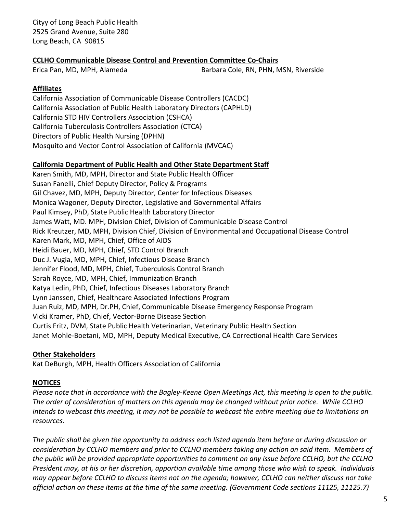Cityy of Long Beach Public Health 2525 Grand Avenue, Suite 280 Long Beach, CA 90815

# **CCLHO Communicable Disease Control and Prevention Committee Co-Chairs**

Erica Pan, MD, MPH, Alameda Barbara Cole, RN, PHN, MSN, Riverside

## **Affiliates**

California Association of Communicable Disease Controllers (CACDC) California Association of Public Health Laboratory Directors (CAPHLD) California STD HIV Controllers Association (CSHCA) California Tuberculosis Controllers Association (CTCA) Directors of Public Health Nursing (DPHN) Mosquito and Vector Control Association of California (MVCAC)

### **California Department of Public Health and Other State Department Staff**

Karen Smith, MD, MPH, Director and State Public Health Officer Susan Fanelli, Chief Deputy Director, Policy & Programs Gil Chavez, MD, MPH, Deputy Director, Center for Infectious Diseases Monica Wagoner, Deputy Director, Legislative and Governmental Affairs Paul Kimsey, PhD, State Public Health Laboratory Director James Watt, MD. MPH, Division Chief, Division of Communicable Disease Control Rick Kreutzer, MD, MPH, Division Chief, Division of Environmental and Occupational Disease Control Karen Mark, MD, MPH, Chief, Office of AIDS Heidi Bauer, MD, MPH, Chief, STD Control Branch Duc J. Vugia, MD, MPH, Chief, Infectious Disease Branch Jennifer Flood, MD, MPH, Chief, Tuberculosis Control Branch Sarah Royce, MD, MPH, Chief, Immunization Branch Katya Ledin, PhD, Chief, Infectious Diseases Laboratory Branch Lynn Janssen, Chief, Healthcare Associated Infections Program Juan Ruiz, MD, MPH, Dr.PH, Chief, Communicable Disease Emergency Response Program Vicki Kramer, PhD, Chief, Vector-Borne Disease Section Curtis Fritz, DVM, State Public Health Veterinarian, Veterinary Public Health Section Janet Mohle-Boetani, MD, MPH, Deputy Medical Executive, CA Correctional Health Care Services

# **Other Stakeholders**

Kat DeBurgh, MPH, Health Officers Association of California

### **NOTICES**

*Please note that in accordance with the Bagley-Keene Open Meetings Act, this meeting is open to the public. The order of consideration of matters on this agenda may be changed without prior notice. While CCLHO intends to webcast this meeting, it may not be possible to webcast the entire meeting due to limitations on resources.*

*The public shall be given the opportunity to address each listed agenda item before or during discussion or consideration by CCLHO members and prior to CCLHO members taking any action on said item. Members of the public will be provided appropriate opportunities to comment on any issue before CCLHO, but the CCLHO President may, at his or her discretion, apportion available time among those who wish to speak. Individuals may appear before CCLHO to discuss items not on the agenda; however, CCLHO can neither discuss nor take official action on these items at the time of the same meeting. (Government Code sections 11125, 11125.7)*